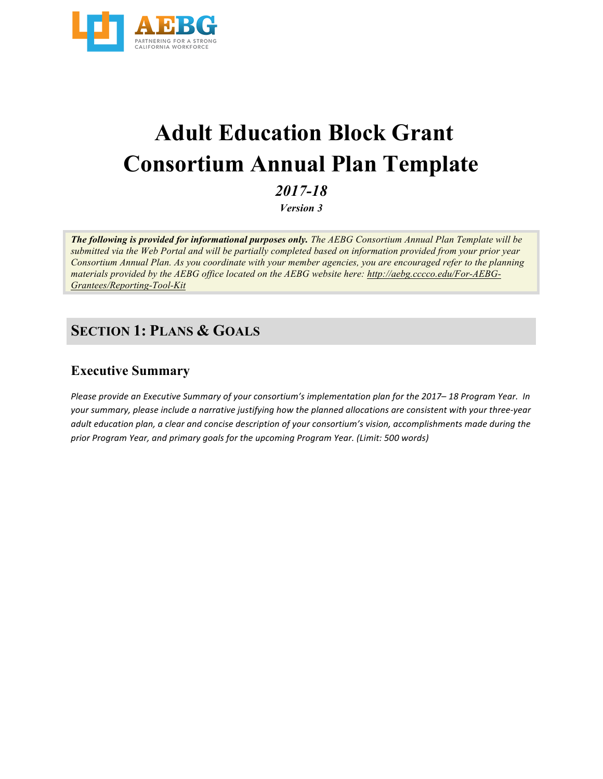

# **Adult Education Block Grant Consortium Annual Plan Template**

*2017-18*

*Version 3*

*The following is provided for informational purposes only. The AEBG Consortium Annual Plan Template will be submitted via the Web Portal and will be partially completed based on information provided from your prior year Consortium Annual Plan. As you coordinate with your member agencies, you are encouraged refer to the planning materials provided by the AEBG office located on the AEBG website here: http://aebg.cccco.edu/For-AEBG-Grantees/Reporting-Tool-Kit*

### **SECTION 1: PLANS & GOALS**

#### **Executive Summary**

*Please provide an Executive Summary of your consortium's implementation plan for the 2017–18 Program Year. In* your summary, please include a narrative justifying how the planned allocations are consistent with your three-year *adult education plan, a clear and concise description of your consortium's vision, accomplishments made during the* prior Program Year, and primary goals for the upcoming Program Year. (Limit: 500 words)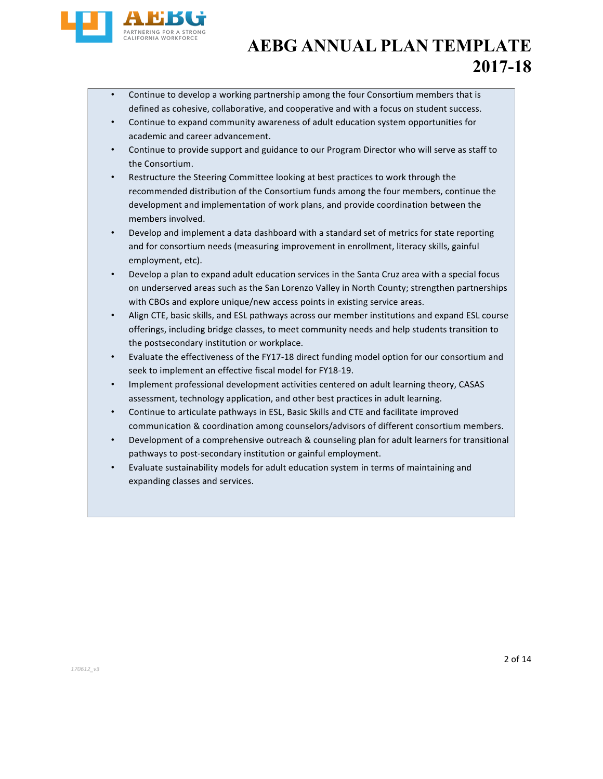

- Continue to develop a working partnership among the four Consortium members that is defined as cohesive, collaborative, and cooperative and with a focus on student success.
- Continue to expand community awareness of adult education system opportunities for academic and career advancement.
- Continue to provide support and guidance to our Program Director who will serve as staff to the Consortium.
- Restructure the Steering Committee looking at best practices to work through the recommended distribution of the Consortium funds among the four members, continue the development and implementation of work plans, and provide coordination between the members involved.
- Develop and implement a data dashboard with a standard set of metrics for state reporting and for consortium needs (measuring improvement in enrollment, literacy skills, gainful employment, etc).
- Develop a plan to expand adult education services in the Santa Cruz area with a special focus on underserved areas such as the San Lorenzo Valley in North County; strengthen partnerships with CBOs and explore unique/new access points in existing service areas.
- Align CTE, basic skills, and ESL pathways across our member institutions and expand ESL course offerings, including bridge classes, to meet community needs and help students transition to the postsecondary institution or workplace.
- Evaluate the effectiveness of the FY17-18 direct funding model option for our consortium and seek to implement an effective fiscal model for FY18-19.
- Implement professional development activities centered on adult learning theory, CASAS assessment, technology application, and other best practices in adult learning.
- Continue to articulate pathways in ESL, Basic Skills and CTE and facilitate improved communication & coordination among counselors/advisors of different consortium members.
- Development of a comprehensive outreach & counseling plan for adult learners for transitional pathways to post-secondary institution or gainful employment.
- Evaluate sustainability models for adult education system in terms of maintaining and expanding classes and services.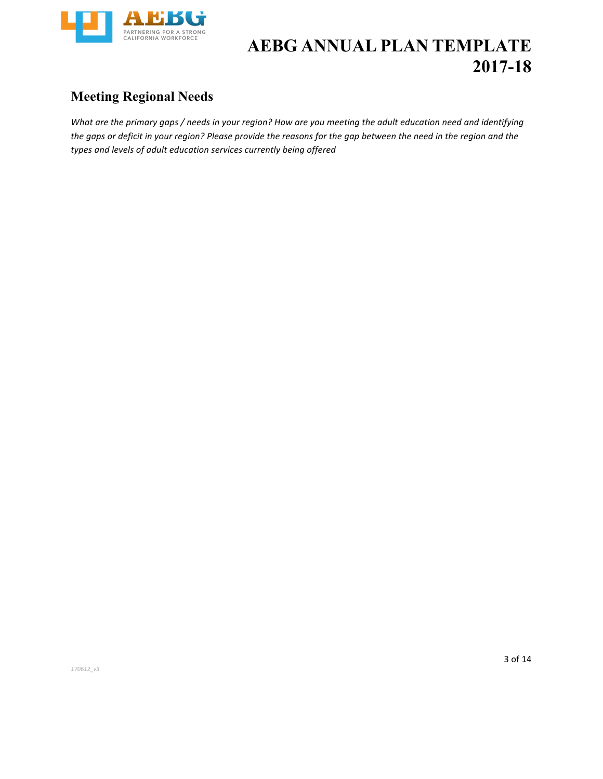

### **Meeting Regional Needs**

*What are the primary gaps* / needs in your region? How are you meeting the adult education need and identifying the gaps or deficit in your region? Please provide the reasons for the gap between the need in the region and the types and levels of adult education services currently being offered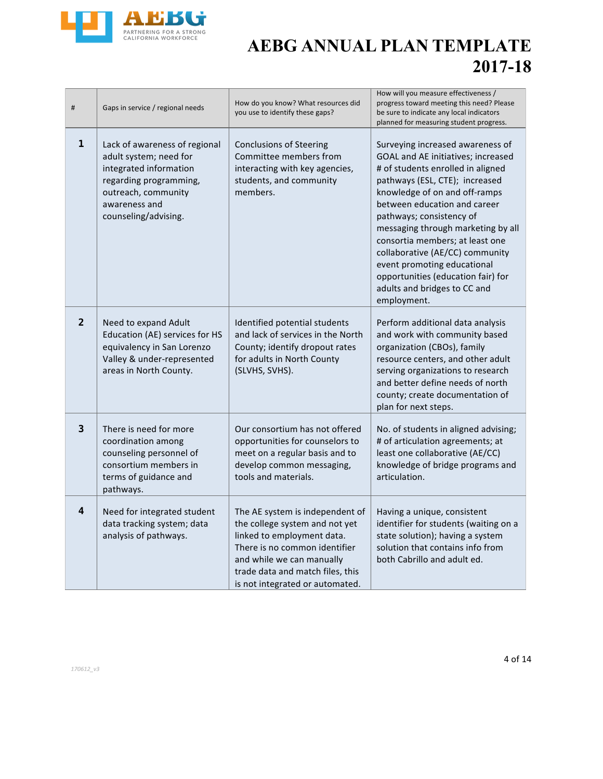

| #              | Gaps in service / regional needs                                                                                                                                            | How do you know? What resources did<br>you use to identify these gaps?                                                                                                                                                               | How will you measure effectiveness /<br>progress toward meeting this need? Please<br>be sure to indicate any local indicators<br>planned for measuring student progress.                                                                                                                                                                                                                                                                                                   |
|----------------|-----------------------------------------------------------------------------------------------------------------------------------------------------------------------------|--------------------------------------------------------------------------------------------------------------------------------------------------------------------------------------------------------------------------------------|----------------------------------------------------------------------------------------------------------------------------------------------------------------------------------------------------------------------------------------------------------------------------------------------------------------------------------------------------------------------------------------------------------------------------------------------------------------------------|
| 1              | Lack of awareness of regional<br>adult system; need for<br>integrated information<br>regarding programming,<br>outreach, community<br>awareness and<br>counseling/advising. | <b>Conclusions of Steering</b><br>Committee members from<br>interacting with key agencies,<br>students, and community<br>members.                                                                                                    | Surveying increased awareness of<br>GOAL and AE initiatives; increased<br># of students enrolled in aligned<br>pathways (ESL, CTE); increased<br>knowledge of on and off-ramps<br>between education and career<br>pathways; consistency of<br>messaging through marketing by all<br>consortia members; at least one<br>collaborative (AE/CC) community<br>event promoting educational<br>opportunities (education fair) for<br>adults and bridges to CC and<br>employment. |
| $\overline{2}$ | Need to expand Adult<br>Education (AE) services for HS<br>equivalency in San Lorenzo<br>Valley & under-represented<br>areas in North County.                                | Identified potential students<br>and lack of services in the North<br>County; identify dropout rates<br>for adults in North County<br>(SLVHS, SVHS).                                                                                 | Perform additional data analysis<br>and work with community based<br>organization (CBOs), family<br>resource centers, and other adult<br>serving organizations to research<br>and better define needs of north<br>county; create documentation of<br>plan for next steps.                                                                                                                                                                                                  |
| 3              | There is need for more<br>coordination among<br>counseling personnel of<br>consortium members in<br>terms of guidance and<br>pathways.                                      | Our consortium has not offered<br>opportunities for counselors to<br>meet on a regular basis and to<br>develop common messaging,<br>tools and materials.                                                                             | No. of students in aligned advising;<br># of articulation agreements; at<br>least one collaborative (AE/CC)<br>knowledge of bridge programs and<br>articulation.                                                                                                                                                                                                                                                                                                           |
| 4              | Need for integrated student<br>data tracking system; data<br>analysis of pathways.                                                                                          | The AE system is independent of<br>the college system and not yet<br>linked to employment data.<br>There is no common identifier<br>and while we can manually<br>trade data and match files, this<br>is not integrated or automated. | Having a unique, consistent<br>identifier for students (waiting on a<br>state solution); having a system<br>solution that contains info from<br>both Cabrillo and adult ed.                                                                                                                                                                                                                                                                                                |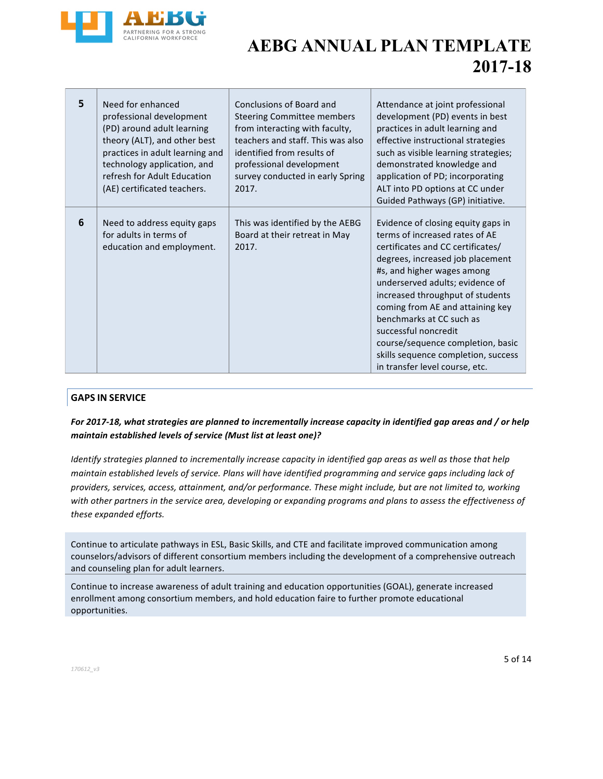

| 5 | Need for enhanced<br>professional development<br>(PD) around adult learning<br>theory (ALT), and other best<br>practices in adult learning and<br>technology application, and<br>refresh for Adult Education<br>(AE) certificated teachers. | Conclusions of Board and<br><b>Steering Committee members</b><br>from interacting with faculty,<br>teachers and staff. This was also<br>identified from results of<br>professional development<br>survey conducted in early Spring<br>2017. | Attendance at joint professional<br>development (PD) events in best<br>practices in adult learning and<br>effective instructional strategies<br>such as visible learning strategies;<br>demonstrated knowledge and<br>application of PD; incorporating<br>ALT into PD options at CC under<br>Guided Pathways (GP) initiative.                                                                                                                            |
|---|---------------------------------------------------------------------------------------------------------------------------------------------------------------------------------------------------------------------------------------------|---------------------------------------------------------------------------------------------------------------------------------------------------------------------------------------------------------------------------------------------|----------------------------------------------------------------------------------------------------------------------------------------------------------------------------------------------------------------------------------------------------------------------------------------------------------------------------------------------------------------------------------------------------------------------------------------------------------|
| 6 | Need to address equity gaps<br>for adults in terms of<br>education and employment.                                                                                                                                                          | This was identified by the AEBG<br>Board at their retreat in May<br>2017.                                                                                                                                                                   | Evidence of closing equity gaps in<br>terms of increased rates of AE<br>certificates and CC certificates/<br>degrees, increased job placement<br>#s, and higher wages among<br>underserved adults; evidence of<br>increased throughput of students<br>coming from AE and attaining key<br>benchmarks at CC such as<br>successful noncredit<br>course/sequence completion, basic<br>skills sequence completion, success<br>in transfer level course, etc. |

#### **GAPS IN SERVICE**

#### For 2017-18, what strategies are planned to incrementally increase capacity in identified gap areas and / or help maintain established levels of service (Must list at least one)?

*Identify* strategies planned to incrementally increase capacity in identified gap areas as well as those that help maintain established levels of service. Plans will have identified programming and service gaps including lack of providers, services, access, attainment, and/or performance. These might include, but are not limited to, working with other partners in the service area, developing or expanding programs and plans to assess the effectiveness of these expanded efforts.

Continue to articulate pathways in ESL, Basic Skills, and CTE and facilitate improved communication among counselors/advisors of different consortium members including the development of a comprehensive outreach and counseling plan for adult learners.

Continue to increase awareness of adult training and education opportunities (GOAL), generate increased enrollment among consortium members, and hold education faire to further promote educational opportunities.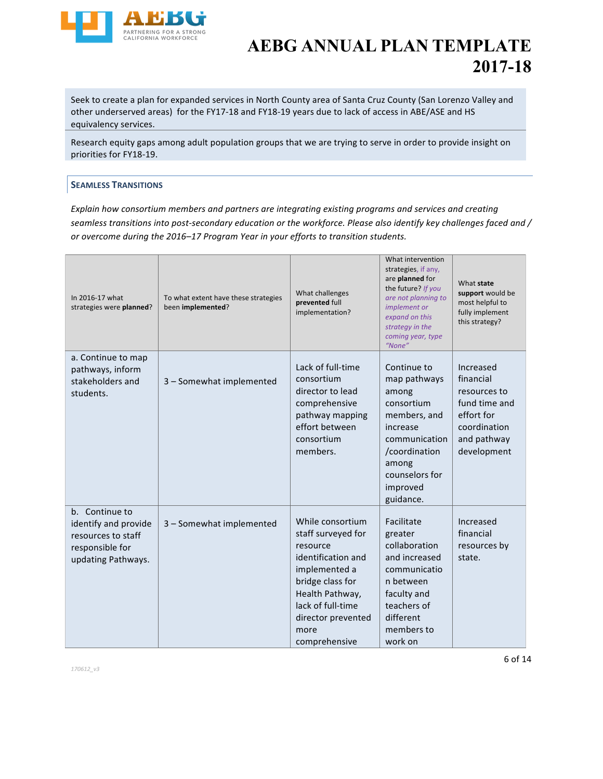

Seek to create a plan for expanded services in North County area of Santa Cruz County (San Lorenzo Valley and other underserved areas) for the FY17-18 and FY18-19 years due to lack of access in ABE/ASE and HS equivalency services.

Research equity gaps among adult population groups that we are trying to serve in order to provide insight on priorities for FY18-19.

#### **SEAMLESS TRANSITIONS**

*Explain how consortium members and partners are integrating existing programs and services and creating* seamless transitions into post-secondary education or the workforce. Please also identify key challenges faced and / or overcome during the 2016-17 Program Year in your efforts to transition students.

| In 2016-17 what<br>strategies were planned?                                                           | To what extent have these strategies<br>been implemented? | What challenges<br>prevented full<br>implementation?                                                                                                                                                 | What intervention<br>strategies, if any,<br>are planned for<br>the future? If you<br>are not planning to<br>implement or<br>expand on this<br>strategy in the<br>coming year, type<br>"None" | What state<br>support would be<br>most helpful to<br>fully implement<br>this strategy?                              |
|-------------------------------------------------------------------------------------------------------|-----------------------------------------------------------|------------------------------------------------------------------------------------------------------------------------------------------------------------------------------------------------------|----------------------------------------------------------------------------------------------------------------------------------------------------------------------------------------------|---------------------------------------------------------------------------------------------------------------------|
| a. Continue to map<br>pathways, inform<br>stakeholders and<br>students.                               | 3 - Somewhat implemented                                  | Lack of full-time<br>consortium<br>director to lead<br>comprehensive<br>pathway mapping<br>effort between<br>consortium<br>members.                                                                  | Continue to<br>map pathways<br>among<br>consortium<br>members, and<br>increase<br>communication<br>/coordination<br>among<br>counselors for<br>improved<br>guidance.                         | Increased<br>financial<br>resources to<br>fund time and<br>effort for<br>coordination<br>and pathway<br>development |
| b. Continue to<br>identify and provide<br>resources to staff<br>responsible for<br>updating Pathways. | 3 - Somewhat implemented                                  | While consortium<br>staff surveyed for<br>resource<br>identification and<br>implemented a<br>bridge class for<br>Health Pathway,<br>lack of full-time<br>director prevented<br>more<br>comprehensive | Facilitate<br>greater<br>collaboration<br>and increased<br>communicatio<br>n between<br>faculty and<br>teachers of<br>different<br>members to<br>work on                                     | Increased<br>financial<br>resources by<br>state.                                                                    |

*170612\_v3*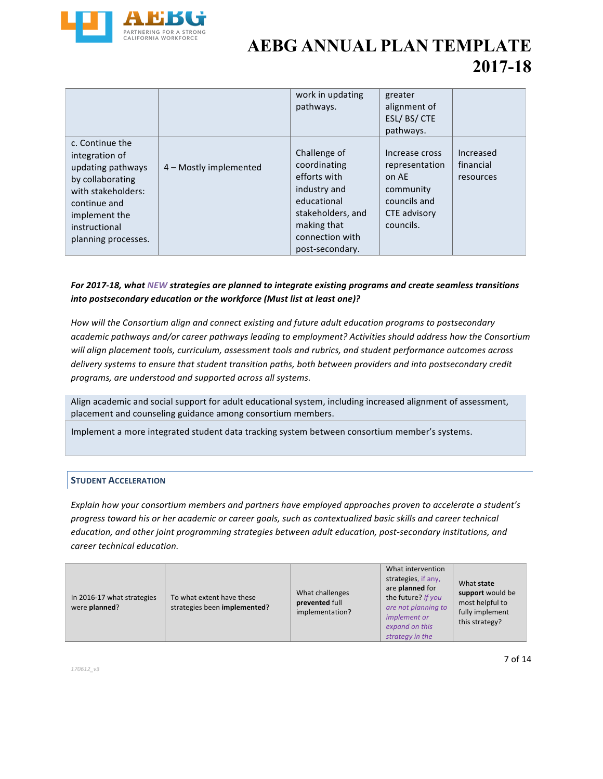

|                                                                                                                                                                           |                        | work in updating<br>pathways.                                                                                                                         | greater<br>alignment of<br>ESL/BS/CTE<br>pathways.                                                  |                                     |
|---------------------------------------------------------------------------------------------------------------------------------------------------------------------------|------------------------|-------------------------------------------------------------------------------------------------------------------------------------------------------|-----------------------------------------------------------------------------------------------------|-------------------------------------|
| c. Continue the<br>integration of<br>updating pathways<br>by collaborating<br>with stakeholders:<br>continue and<br>implement the<br>instructional<br>planning processes. | 4 – Mostly implemented | Challenge of<br>coordinating<br>efforts with<br>industry and<br>educational<br>stakeholders, and<br>making that<br>connection with<br>post-secondary. | Increase cross<br>representation<br>on AE<br>community<br>councils and<br>CTE advisory<br>councils. | Increased<br>financial<br>resources |

#### For 2017-18, what NEW strategies are planned to integrate existing programs and create seamless transitions into postsecondary education or the workforce (Must list at least one)?

How will the Consortium align and connect existing and future adult education programs to postsecondary academic pathways and/or career pathways leading to employment? Activities should address how the Consortium will align placement tools, curriculum, assessment tools and rubrics, and student performance outcomes across *delivery* systems to ensure that student transition paths, both between providers and into postsecondary credit programs, are understood and supported across all systems.

Align academic and social support for adult educational system, including increased alignment of assessment, placement and counseling guidance among consortium members.

Implement a more integrated student data tracking system between consortium member's systems.

#### **STUDENT ACCELERATION**

*Explain how your consortium members and partners have employed approaches proven to accelerate a student's progress toward his or her academic or career goals, such as contextualized basic skills and career technical* education, and other joint programming strategies between adult education, post-secondary institutions, and *career technical education.*

| In 2016-17 what strategies<br>were planned? | To what extent have these<br>strategies been implemented? | What challenges<br>prevented full<br>implementation? | What intervention<br>strategies, if any,<br>are planned for<br>the future? If you<br>are not planning to<br><i>implement or</i><br>expand on this<br>strategy in the | What state<br>support would be<br>most helpful to<br>fully implement<br>this strategy? |
|---------------------------------------------|-----------------------------------------------------------|------------------------------------------------------|----------------------------------------------------------------------------------------------------------------------------------------------------------------------|----------------------------------------------------------------------------------------|
|---------------------------------------------|-----------------------------------------------------------|------------------------------------------------------|----------------------------------------------------------------------------------------------------------------------------------------------------------------------|----------------------------------------------------------------------------------------|

*170612\_v3*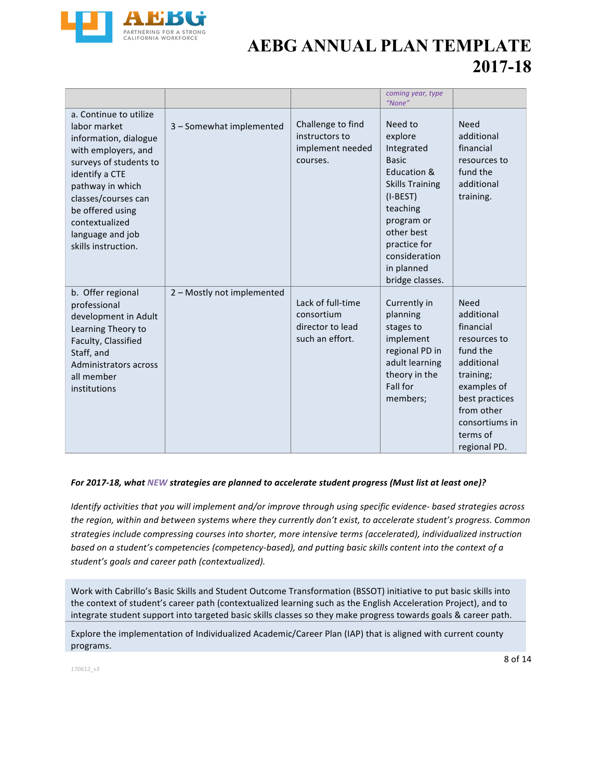

|                                                                                                                                                                                                                                                                |                            |                                                                        | coming year, type<br>"None"                                                                                                                                                                                       |                                                                                                                                                                                            |
|----------------------------------------------------------------------------------------------------------------------------------------------------------------------------------------------------------------------------------------------------------------|----------------------------|------------------------------------------------------------------------|-------------------------------------------------------------------------------------------------------------------------------------------------------------------------------------------------------------------|--------------------------------------------------------------------------------------------------------------------------------------------------------------------------------------------|
| a. Continue to utilize<br>labor market<br>information, dialogue<br>with employers, and<br>surveys of students to<br>identify a CTE<br>pathway in which<br>classes/courses can<br>be offered using<br>contextualized<br>language and job<br>skills instruction. | 3 - Somewhat implemented   | Challenge to find<br>instructors to<br>implement needed<br>courses.    | Need to<br>explore<br>Integrated<br><b>Basic</b><br>Education &<br><b>Skills Training</b><br>$(I-BEST)$<br>teaching<br>program or<br>other best<br>practice for<br>consideration<br>in planned<br>bridge classes. | <b>Need</b><br>additional<br>financial<br>resources to<br>fund the<br>additional<br>training.                                                                                              |
| b. Offer regional<br>professional<br>development in Adult<br>Learning Theory to<br>Faculty, Classified<br>Staff, and<br>Administrators across<br>all member<br>institutions                                                                                    | 2 – Mostly not implemented | Lack of full-time<br>consortium<br>director to lead<br>such an effort. | Currently in<br>planning<br>stages to<br>implement<br>regional PD in<br>adult learning<br>theory in the<br>Fall for<br>members;                                                                                   | <b>Need</b><br>additional<br>financial<br>resources to<br>fund the<br>additional<br>training;<br>examples of<br>best practices<br>from other<br>consortiums in<br>terms of<br>regional PD. |

#### For 2017-18, what NEW strategies are planned to accelerate student progress (Must list at least one)?

*Identify activities that you will implement and/or improve through using specific evidence- based strategies across* the region, within and between systems where they currently don't exist, to accelerate student's progress. Common strategies include compressing courses into shorter, more intensive terms (accelerated), individualized instruction *based* on a student's competencies (competency-based), and putting basic skills content into the context of a student's goals and career path (contextualized).

Work with Cabrillo's Basic Skills and Student Outcome Transformation (BSSOT) initiative to put basic skills into the context of student's career path (contextualized learning such as the English Acceleration Project), and to integrate student support into targeted basic skills classes so they make progress towards goals & career path.

Explore the implementation of Individualized Academic/Career Plan (IAP) that is aligned with current county programs.

*170612\_v3*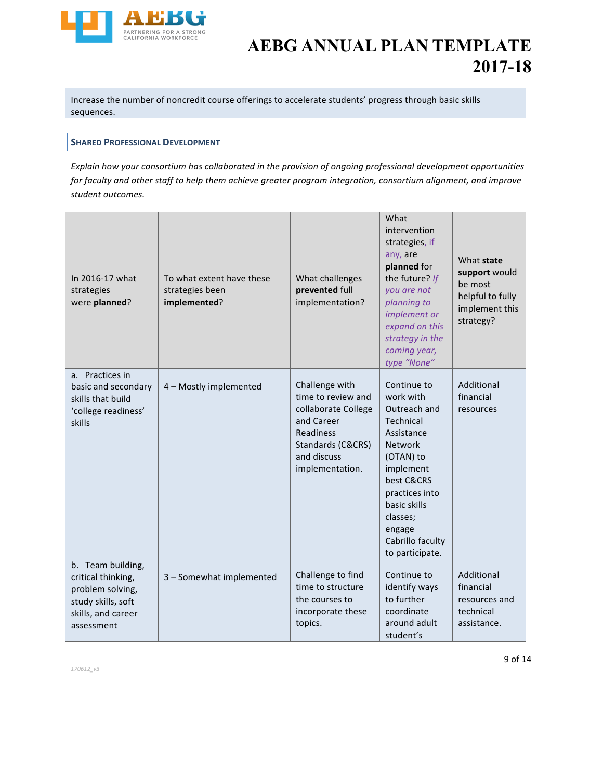

Increase the number of noncredit course offerings to accelerate students' progress through basic skills sequences.

#### **SHARED PROFESSIONAL DEVELOPMENT**

*Explain how your consortium has collaborated in the provision of ongoing professional development opportunities* for faculty and other staff to help them achieve greater program integration, consortium alignment, and improve *student outcomes.*

| In 2016-17 what<br>strategies<br>were planned?                                                                        | To what extent have these<br>strategies been<br>implemented? | What challenges<br>prevented full<br>implementation?                                                                                          | What<br>intervention<br>strategies, if<br>any, are<br>planned for<br>the future? If<br>vou are not<br>planning to<br>implement or<br>expand on this<br>strategy in the<br>coming year,<br>type "None"                        | What state<br>support would<br>be most<br>helpful to fully<br>implement this<br>strategy? |
|-----------------------------------------------------------------------------------------------------------------------|--------------------------------------------------------------|-----------------------------------------------------------------------------------------------------------------------------------------------|------------------------------------------------------------------------------------------------------------------------------------------------------------------------------------------------------------------------------|-------------------------------------------------------------------------------------------|
| a. Practices in<br>basic and secondary<br>skills that build<br>'college readiness'<br>skills                          | 4 - Mostly implemented                                       | Challenge with<br>time to review and<br>collaborate College<br>and Career<br>Readiness<br>Standards (C&CRS)<br>and discuss<br>implementation. | Continue to<br>work with<br>Outreach and<br>Technical<br>Assistance<br><b>Network</b><br>(OTAN) to<br>implement<br>best C&CRS<br>practices into<br>basic skills<br>classes;<br>engage<br>Cabrillo faculty<br>to participate. | Additional<br>financial<br>resources                                                      |
| b. Team building,<br>critical thinking,<br>problem solving,<br>study skills, soft<br>skills, and career<br>assessment | 3 - Somewhat implemented                                     | Challenge to find<br>time to structure<br>the courses to<br>incorporate these<br>topics.                                                      | Continue to<br>identify ways<br>to further<br>coordinate<br>around adult<br>student's                                                                                                                                        | Additional<br>financial<br>resources and<br>technical<br>assistance.                      |

*170612\_v3*

9 of 14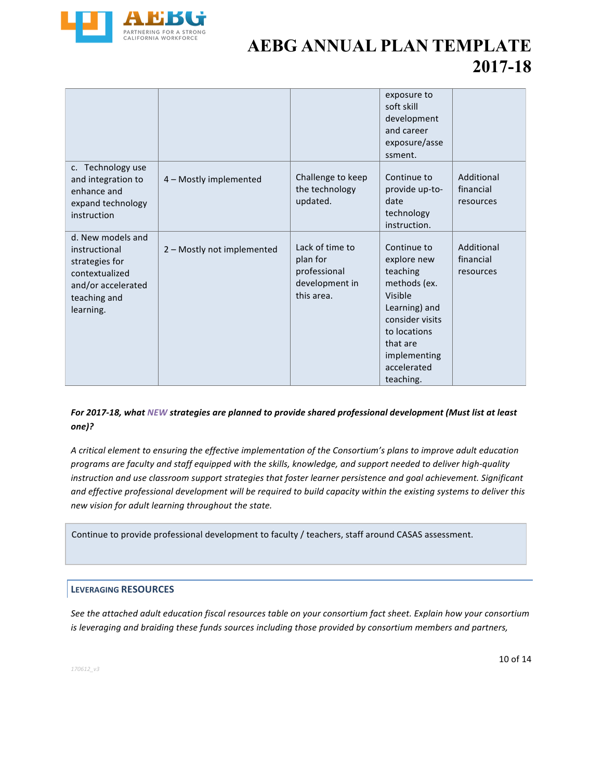

|                                                                                                                           |                            |                                                                             | exposure to<br>soft skill<br>development<br>and career<br>exposure/asse<br>ssment.                                                                                            |                                      |
|---------------------------------------------------------------------------------------------------------------------------|----------------------------|-----------------------------------------------------------------------------|-------------------------------------------------------------------------------------------------------------------------------------------------------------------------------|--------------------------------------|
| c. Technology use<br>and integration to<br>enhance and<br>expand technology<br>instruction                                | 4 - Mostly implemented     | Challenge to keep<br>the technology<br>updated.                             | Continue to<br>provide up-to-<br>date<br>technology<br>instruction.                                                                                                           | Additional<br>financial<br>resources |
| d. New models and<br>instructional<br>strategies for<br>contextualized<br>and/or accelerated<br>teaching and<br>learning. | 2 - Mostly not implemented | Lack of time to<br>plan for<br>professional<br>development in<br>this area. | Continue to<br>explore new<br>teaching<br>methods (ex.<br>Visible<br>Learning) and<br>consider visits<br>to locations<br>that are<br>implementing<br>accelerated<br>teaching. | Additional<br>financial<br>resources |

#### For 2017-18, what NEW strategies are planned to provide shared professional development (Must list at least *one)?*

A critical element to ensuring the effective implementation of the Consortium's plans to improve adult education programs are faculty and staff equipped with the skills, knowledge, and support needed to deliver high-quality *instruction and use classroom support strategies that foster learner persistence and goal achievement. Significant* and effective professional development will be required to build capacity within the existing systems to deliver this *new vision for adult learning throughout the state.*

Continue to provide professional development to faculty / teachers, staff around CASAS assessment.

#### **LEVERAGING RESOURCES**

See the attached adult education fiscal resources table on your consortium fact sheet. Explain how your consortium *is* leveraging and braiding these funds sources including those provided by consortium members and partners,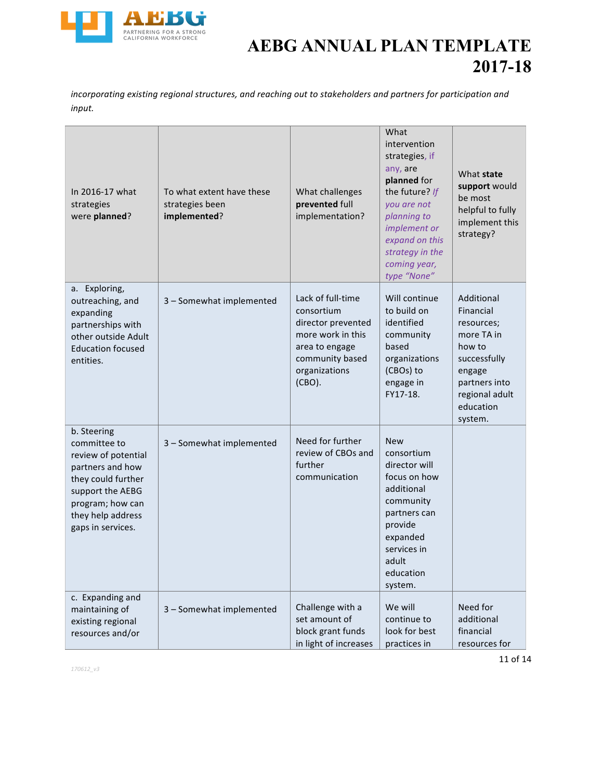

*incorporating existing regional structures, and reaching out to stakeholders and partners for participation and input.*

| In 2016-17 what<br>strategies<br>were planned?                                                                                                                                 | To what extent have these<br>strategies been<br>implemented? | What challenges<br>prevented full<br>implementation?                                                                                       | What<br>intervention<br>strategies, if<br>any, are<br>planned for<br>the future? If<br>you are not<br>planning to<br>implement or<br>expand on this<br>strategy in the<br>coming year,<br>type "None" | What state<br>support would<br>be most<br>helpful to fully<br>implement this<br>strategy?                                                          |
|--------------------------------------------------------------------------------------------------------------------------------------------------------------------------------|--------------------------------------------------------------|--------------------------------------------------------------------------------------------------------------------------------------------|-------------------------------------------------------------------------------------------------------------------------------------------------------------------------------------------------------|----------------------------------------------------------------------------------------------------------------------------------------------------|
| a. Exploring,<br>outreaching, and<br>expanding<br>partnerships with<br>other outside Adult<br><b>Education focused</b><br>entities.                                            | 3 - Somewhat implemented                                     | Lack of full-time<br>consortium<br>director prevented<br>more work in this<br>area to engage<br>community based<br>organizations<br>(CBO). | Will continue<br>to build on<br>identified<br>community<br>based<br>organizations<br>(CBOs) to<br>engage in<br>FY17-18.                                                                               | Additional<br>Financial<br>resources;<br>more TA in<br>how to<br>successfully<br>engage<br>partners into<br>regional adult<br>education<br>system. |
| b. Steering<br>committee to<br>review of potential<br>partners and how<br>they could further<br>support the AEBG<br>program; how can<br>they help address<br>gaps in services. | 3 - Somewhat implemented                                     | Need for further<br>review of CBOs and<br>further<br>communication                                                                         | <b>New</b><br>consortium<br>director will<br>focus on how<br>additional<br>community<br>partners can<br>provide<br>expanded<br>services in<br>adult<br>education<br>system.                           |                                                                                                                                                    |
| c. Expanding and<br>maintaining of<br>existing regional<br>resources and/or                                                                                                    | 3 - Somewhat implemented                                     | Challenge with a<br>set amount of<br>block grant funds<br>in light of increases                                                            | We will<br>continue to<br>look for best<br>practices in                                                                                                                                               | Need for<br>additional<br>financial<br>resources for                                                                                               |

*170612\_v3*

11 of 14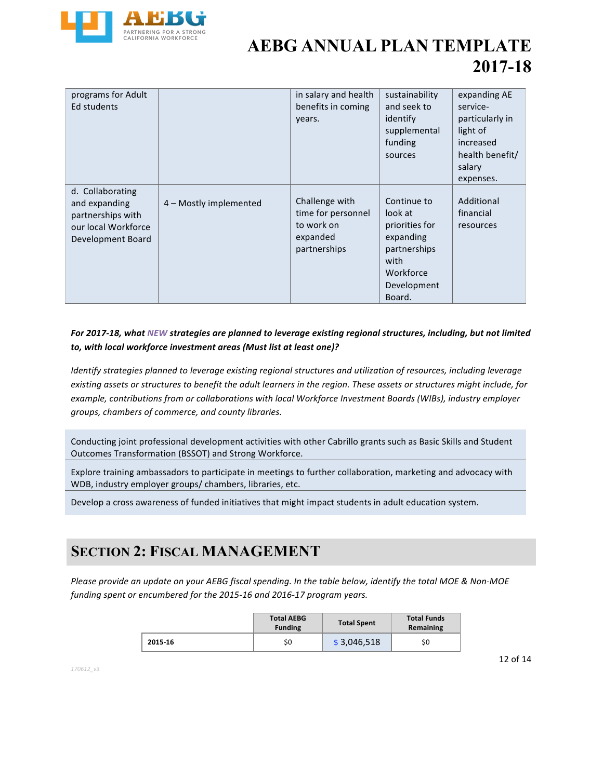

| programs for Adult<br>Ed students                                                                  |                        | in salary and health<br>benefits in coming<br>years.                           | sustainability<br>and seek to<br>identify<br>supplemental<br>funding<br>sources                                     | expanding AE<br>service-<br>particularly in<br>light of<br>increased<br>health benefit/<br>salary<br>expenses. |
|----------------------------------------------------------------------------------------------------|------------------------|--------------------------------------------------------------------------------|---------------------------------------------------------------------------------------------------------------------|----------------------------------------------------------------------------------------------------------------|
| d. Collaborating<br>and expanding<br>partnerships with<br>our local Workforce<br>Development Board | 4 - Mostly implemented | Challenge with<br>time for personnel<br>to work on<br>expanded<br>partnerships | Continue to<br>look at<br>priorities for<br>expanding<br>partnerships<br>with<br>Workforce<br>Development<br>Board. | Additional<br>financial<br>resources                                                                           |

#### For 2017-18, what NEW strategies are planned to leverage existing regional structures, including, but not limited to, with local workforce investment areas (Must list at least one)?

*Identify strategies planned to leverage existing regional structures and utilization of resources, including leverage* existing assets or structures to benefit the adult learners in the region. These assets or structures might include, for example, contributions from or collaborations with local Workforce Investment Boards (WIBs), industry employer groups, chambers of commerce, and county libraries.

Conducting joint professional development activities with other Cabrillo grants such as Basic Skills and Student Outcomes Transformation (BSSOT) and Strong Workforce.

Explore training ambassadors to participate in meetings to further collaboration, marketing and advocacy with WDB, industry employer groups/ chambers, libraries, etc.

Develop a cross awareness of funded initiatives that might impact students in adult education system.

### **SECTION 2: FISCAL MANAGEMENT**

Please provide an update on your AEBG fiscal spending. In the table below, identify the total MOE & Non-MOE funding spent or encumbered for the 2015-16 and 2016-17 program years.

|         | <b>Total AEBG</b><br><b>Funding</b> | <b>Total Spent</b> | <b>Total Funds</b><br>Remaining |
|---------|-------------------------------------|--------------------|---------------------------------|
| 2015-16 | \$0                                 | \$3,046,518        | \$0                             |

*170612\_v3*

12 of 14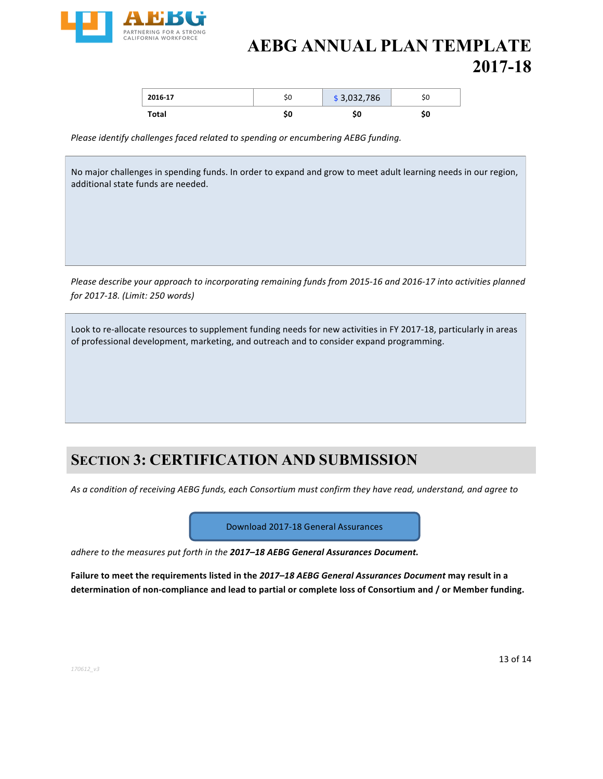

| 2016-17 | эı     | \$3,032,786 | οU |
|---------|--------|-------------|----|
| Total   | <br>Ju |             | JU |

Please identify challenges faced related to spending or encumbering AEBG funding.

No major challenges in spending funds. In order to expand and grow to meet adult learning needs in our region, additional state funds are needed.

*Please describe your approach to incorporating remaining funds from 2015-16 and 2016-17 into activities planned for 2017-18. (Limit: 250 words)*

Look to re-allocate resources to supplement funding needs for new activities in FY 2017-18, particularly in areas of professional development, marketing, and outreach and to consider expand programming.

### **SECTION 3: CERTIFICATION AND SUBMISSION**

As a condition of receiving AEBG funds, each Consortium must confirm they have read, understand, and agree to

Download 2017-18 General Assurances

*adhere to the measures put forth in the 2017–18 AEBG General Assurances Document.* 

Failure to meet the requirements listed in the 2017–18 AEBG General Assurances Document may result in a determination of non-compliance and lead to partial or complete loss of Consortium and / or Member funding.